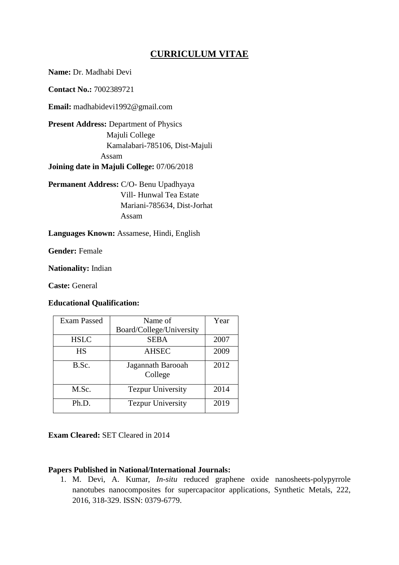# **CURRICULUM VITAE**

**Name:** Dr. Madhabi Devi

**Contact No.:** 7002389721

**Email:** madhabidevi1992@gmail.com

**Present Address:** Department of Physics Majuli College Kamalabari-785106, Dist-Majuli Assam **Joining date in Majuli College:** 07/06/2018

**Permanent Address:** C/O- Benu Upadhyaya Vill- Hunwal Tea Estate Mariani-785634, Dist-Jorhat Assam

**Languages Known:** Assamese, Hindi, English

**Gender:** Female

**Nationality:** Indian

**Caste:** General

## **Educational Qualification:**

| <b>Exam Passed</b> | Name of                      | Year |
|--------------------|------------------------------|------|
|                    | Board/College/University     |      |
| <b>HSLC</b>        | <b>SEBA</b>                  | 2007 |
| <b>HS</b>          | <b>AHSEC</b>                 | 2009 |
| B.Sc.              | Jagannath Barooah<br>College | 2012 |
| M.Sc.              | <b>Tezpur University</b>     | 2014 |
| Ph.D.              | <b>Tezpur University</b>     | 2019 |

**Exam Cleared:** SET Cleared in 2014

## **Papers Published in National/International Journals:**

1. M. Devi, A. Kumar, *In-situ* reduced graphene oxide nanosheets-polypyrrole nanotubes nanocomposites for supercapacitor applications, Synthetic Metals, 222, 2016, 318-329. ISSN: 0379-6779.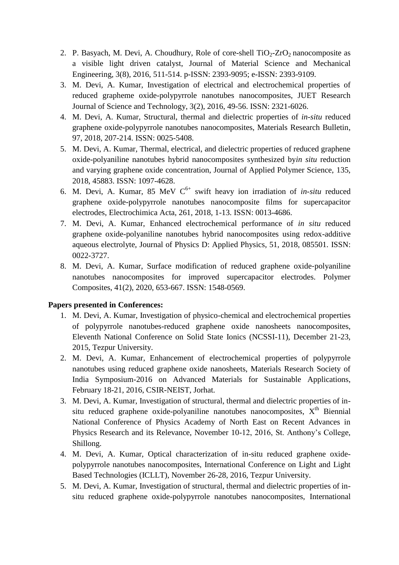- 2. P. Basyach, M. Devi, A. Choudhury, Role of core-shell  $TiO<sub>2</sub>-ZrO<sub>2</sub>$  nanocomposite as a visible light driven catalyst, Journal of Material Science and Mechanical Engineering, 3(8), 2016, 511-514. p-ISSN: 2393-9095; e-ISSN: 2393-9109.
- 3. M. Devi, A. Kumar, Investigation of electrical and electrochemical properties of reduced grapheme oxide-polypyrrole nanotubes nanocomposites, JUET Research Journal of Science and Technology, 3(2), 2016, 49-56. ISSN: 2321-6026.
- 4. M. Devi, A. Kumar, Structural, thermal and dielectric properties of *in-situ* reduced graphene oxide-polypyrrole nanotubes nanocomposites, Materials Research Bulletin, 97, 2018, 207-214. ISSN: 0025-5408.
- 5. M. Devi, A. Kumar, Thermal, electrical, and dielectric properties of reduced graphene oxide-polyaniline nanotubes hybrid nanocomposites synthesized by*in situ* reduction and varying graphene oxide concentration, Journal of Applied Polymer Science, 135, 2018, 45883. ISSN: 1097-4628.
- 6. M. Devi, A. Kumar, 85 MeV  $C^{6+}$  swift heavy ion irradiation of *in-situ* reduced graphene oxide-polypyrrole nanotubes nanocomposite films for supercapacitor electrodes, Electrochimica Acta, 261, 2018, 1-13. ISSN: 0013-4686.
- 7. M. Devi, A. Kumar, Enhanced electrochemical performance of *in situ* reduced graphene oxide-polyaniline nanotubes hybrid nanocomposites using redox-additive aqueous electrolyte, Journal of Physics D: Applied Physics, 51, 2018, 085501. ISSN: 0022-3727.
- 8. M. Devi, A. Kumar, Surface modification of reduced graphene oxide-polyaniline nanotubes nanocomposites for improved supercapacitor electrodes. Polymer Composites, 41(2), 2020, 653-667. ISSN: 1548-0569.

## **Papers presented in Conferences:**

- 1. M. Devi, A. Kumar, Investigation of physico-chemical and electrochemical properties of polypyrrole nanotubes-reduced graphene oxide nanosheets nanocomposites, Eleventh National Conference on Solid State Ionics (NCSSI-11), December 21-23, 2015, Tezpur University.
- 2. M. Devi, A. Kumar, Enhancement of electrochemical properties of polypyrrole nanotubes using reduced graphene oxide nanosheets, Materials Research Society of India Symposium-2016 on Advanced Materials for Sustainable Applications, February 18-21, 2016, CSIR-NEIST, Jorhat.
- 3. M. Devi, A. Kumar, Investigation of structural, thermal and dielectric properties of insitu reduced graphene oxide-polyaniline nanotubes nanocomposites,  $X^{th}$  Biennial National Conference of Physics Academy of North East on Recent Advances in Physics Research and its Relevance, November 10-12, 2016, St. Anthony's College, Shillong.
- 4. M. Devi, A. Kumar, Optical characterization of in-situ reduced graphene oxidepolypyrrole nanotubes nanocomposites, International Conference on Light and Light Based Technologies (ICLLT), November 26-28, 2016, Tezpur University.
- 5. M. Devi, A. Kumar, Investigation of structural, thermal and dielectric properties of insitu reduced graphene oxide-polypyrrole nanotubes nanocomposites, International